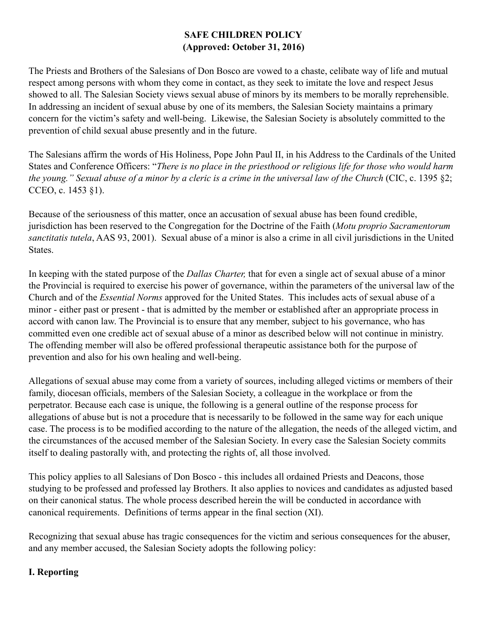## **SAFE CHILDREN POLICY (Approved: October 31, 2016)**

The Priests and Brothers of the Salesians of Don Bosco are vowed to a chaste, celibate way of life and mutual respect among persons with whom they come in contact, as they seek to imitate the love and respect Jesus showed to all. The Salesian Society views sexual abuse of minors by its members to be morally reprehensible. In addressing an incident of sexual abuse by one of its members, the Salesian Society maintains a primary concern for the victim's safety and well-being. Likewise, the Salesian Society is absolutely committed to the prevention of child sexual abuse presently and in the future.

The Salesians affirm the words of His Holiness, Pope John Paul II, in his Address to the Cardinals of the United States and Conference Officers: "*There is no place in the priesthood or religious life for those who would harm the young." Sexual abuse of a minor by a cleric is a crime in the universal law of the Church* (CIC, c. 1395 §2; CCEO, c. 1453 §1).

Because of the seriousness of this matter, once an accusation of sexual abuse has been found credible, jurisdiction has been reserved to the Congregation for the Doctrine of the Faith (*Motu proprio Sacramentorum sanctitatis tutela*, AAS 93, 2001). Sexual abuse of a minor is also a crime in all civil jurisdictions in the United States.

In keeping with the stated purpose of the *Dallas Charter,* that for even a single act of sexual abuse of a minor the Provincial is required to exercise his power of governance, within the parameters of the universal law of the Church and of the *Essential Norms* approved for the United States. This includes acts of sexual abuse of a minor - either past or present - that is admitted by the member or established after an appropriate process in accord with canon law. The Provincial is to ensure that any member, subject to his governance, who has committed even one credible act of sexual abuse of a minor as described below will not continue in ministry. The offending member will also be offered professional therapeutic assistance both for the purpose of prevention and also for his own healing and well-being.

Allegations of sexual abuse may come from a variety of sources, including alleged victims or members of their family, diocesan officials, members of the Salesian Society, a colleague in the workplace or from the perpetrator. Because each case is unique, the following is a general outline of the response process for allegations of abuse but is not a procedure that is necessarily to be followed in the same way for each unique case. The process is to be modified according to the nature of the allegation, the needs of the alleged victim, and the circumstances of the accused member of the Salesian Society. In every case the Salesian Society commits itself to dealing pastorally with, and protecting the rights of, all those involved.

This policy applies to all Salesians of Don Bosco - this includes all ordained Priests and Deacons, those studying to be professed and professed lay Brothers. It also applies to novices and candidates as adjusted based on their canonical status. The whole process described herein the will be conducted in accordance with canonical requirements. Definitions of terms appear in the final section (XI).

Recognizing that sexual abuse has tragic consequences for the victim and serious consequences for the abuser, and any member accused, the Salesian Society adopts the following policy:

### **I. Reporting**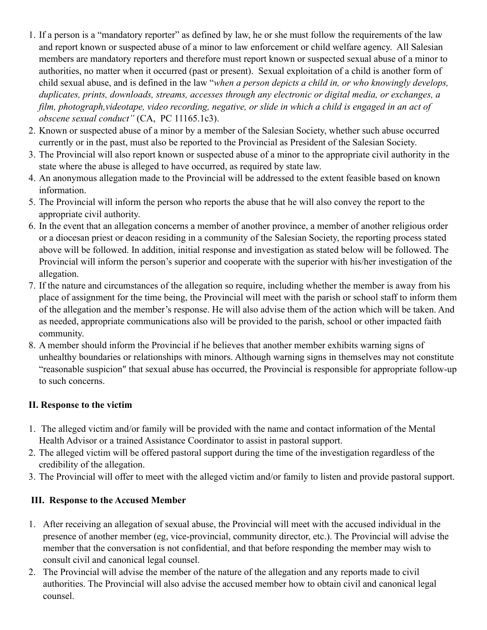- 1. If a person is a "mandatory reporter" as defined by law, he or she must follow the requirements of the law and report known or suspected abuse of a minor to law enforcement or child welfare agency. All Salesian members are mandatory reporters and therefore must report known or suspected sexual abuse of a minor to authorities, no matter when it occurred (past or present). Sexual exploitation of a child is another form of child sexual abuse, and is defined in the law "*when a person depicts a child in, or who knowingly develops, duplicates, prints, downloads, streams, accesses through any electronic or digital media, or exchanges, a film, photograph,videotape, video recording, negative, or slide in which a child is engaged in an act of obscene sexual conduct"* (CA, PC 11165.1c3).
- 2. Known or suspected abuse of a minor by a member of the Salesian Society, whether such abuse occurred currently or in the past, must also be reported to the Provincial as President of the Salesian Society.
- 3. The Provincial will also report known or suspected abuse of a minor to the appropriate civil authority in the state where the abuse is alleged to have occurred, as required by state law.
- 4. An anonymous allegation made to the Provincial will be addressed to the extent feasible based on known information.
- 5. The Provincial will inform the person who reports the abuse that he will also convey the report to the appropriate civil authority.
- 6. In the event that an allegation concerns a member of another province, a member of another religious order or a diocesan priest or deacon residing in a community of the Salesian Society, the reporting process stated above will be followed. In addition, initial response and investigation as stated below will be followed. The Provincial will inform the person's superior and cooperate with the superior with his/her investigation of the allegation.
- 7. If the nature and circumstances of the allegation so require, including whether the member is away from his place of assignment for the time being, the Provincial will meet with the parish or school staff to inform them of the allegation and the member's response. He will also advise them of the action which will be taken. And as needed, appropriate communications also will be provided to the parish, school or other impacted faith community.
- 8. A member should inform the Provincial if he believes that another member exhibits warning signs of unhealthy boundaries or relationships with minors. Although warning signs in themselves may not constitute "reasonable suspicion" that sexual abuse has occurred, the Provincial is responsible for appropriate follow-up to such concerns.

### **II. Response to the victim**

- 1. The alleged victim and/or family will be provided with the name and contact information of the Mental Health Advisor or a trained Assistance Coordinator to assist in pastoral support.
- 2. The alleged victim will be offered pastoral support during the time of the investigation regardless of the credibility of the allegation.
- 3. The Provincial will offer to meet with the alleged victim and/or family to listen and provide pastoral support.

# **III. Response to the Accused Member**

- 1. After receiving an allegation of sexual abuse, the Provincial will meet with the accused individual in the presence of another member (eg, vice-provincial, community director, etc.). The Provincial will advise the member that the conversation is not confidential, and that before responding the member may wish to consult civil and canonical legal counsel.
- 2. The Provincial will advise the member of the nature of the allegation and any reports made to civil authorities. The Provincial will also advise the accused member how to obtain civil and canonical legal counsel.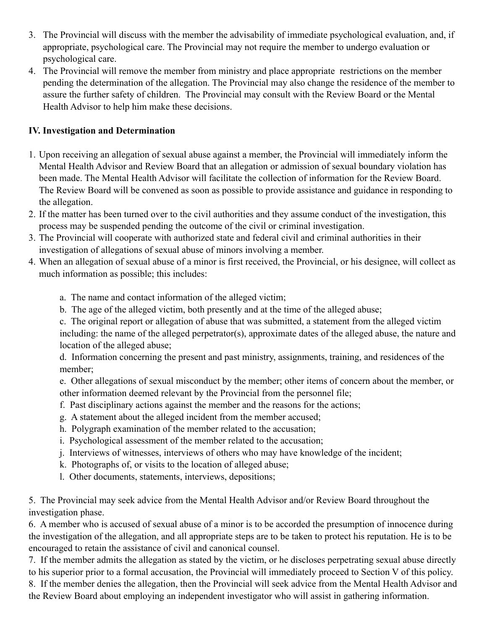- 3. The Provincial will discuss with the member the advisability of immediate psychological evaluation, and, if appropriate, psychological care. The Provincial may not require the member to undergo evaluation or psychological care.
- 4. The Provincial will remove the member from ministry and place appropriate restrictions on the member pending the determination of the allegation. The Provincial may also change the residence of the member to assure the further safety of children. The Provincial may consult with the Review Board or the Mental Health Advisor to help him make these decisions.

## **IV. Investigation and Determination**

- 1. Upon receiving an allegation of sexual abuse against a member, the Provincial will immediately inform the Mental Health Advisor and Review Board that an allegation or admission of sexual boundary violation has been made. The Mental Health Advisor will facilitate the collection of information for the Review Board. The Review Board will be convened as soon as possible to provide assistance and guidance in responding to the allegation.
- 2. If the matter has been turned over to the civil authorities and they assume conduct of the investigation, this process may be suspended pending the outcome of the civil or criminal investigation.
- 3. The Provincial will cooperate with authorized state and federal civil and criminal authorities in their investigation of allegations of sexual abuse of minors involving a member.
- 4. When an allegation of sexual abuse of a minor is first received, the Provincial, or his designee, will collect as much information as possible; this includes:
	- a. The name and contact information of the alleged victim;
	- b. The age of the alleged victim, both presently and at the time of the alleged abuse;

c. The original report or allegation of abuse that was submitted, a statement from the alleged victim including: the name of the alleged perpetrator(s), approximate dates of the alleged abuse, the nature and location of the alleged abuse;

d. Information concerning the present and past ministry, assignments, training, and residences of the member;

e. Other allegations of sexual misconduct by the member; other items of concern about the member, or other information deemed relevant by the Provincial from the personnel file;

- f. Past disciplinary actions against the member and the reasons for the actions;
- g. A statement about the alleged incident from the member accused;
- h. Polygraph examination of the member related to the accusation;
- i. Psychological assessment of the member related to the accusation;
- j. Interviews of witnesses, interviews of others who may have knowledge of the incident;
- k. Photographs of, or visits to the location of alleged abuse;
- l. Other documents, statements, interviews, depositions;

5. The Provincial may seek advice from the Mental Health Advisor and/or Review Board throughout the investigation phase.

6. A member who is accused of sexual abuse of a minor is to be accorded the presumption of innocence during the investigation of the allegation, and all appropriate steps are to be taken to protect his reputation. He is to be encouraged to retain the assistance of civil and canonical counsel.

7. If the member admits the allegation as stated by the victim, or he discloses perpetrating sexual abuse directly to his superior prior to a formal accusation, the Provincial will immediately proceed to Section V of this policy.

8. If the member denies the allegation, then the Provincial will seek advice from the Mental Health Advisor and the Review Board about employing an independent investigator who will assist in gathering information.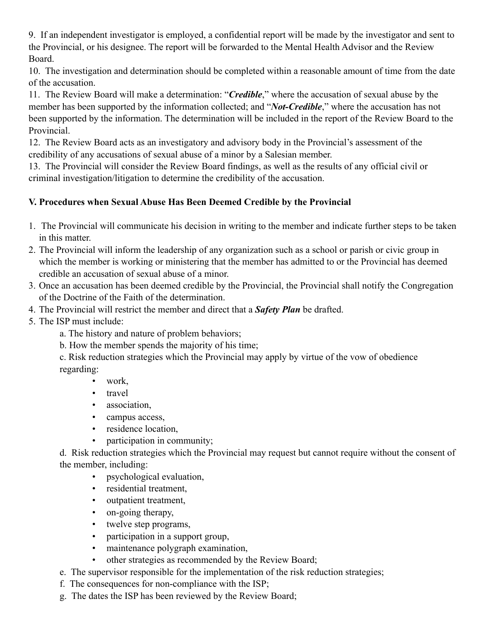9. If an independent investigator is employed, a confidential report will be made by the investigator and sent to the Provincial, or his designee. The report will be forwarded to the Mental Health Advisor and the Review Board.

10. The investigation and determination should be completed within a reasonable amount of time from the date of the accusation.

11. The Review Board will make a determination: "*Credible*," where the accusation of sexual abuse by the member has been supported by the information collected; and "*Not-Credible*," where the accusation has not been supported by the information. The determination will be included in the report of the Review Board to the Provincial.

12. The Review Board acts as an investigatory and advisory body in the Provincial's assessment of the credibility of any accusations of sexual abuse of a minor by a Salesian member.

13.The Provincial will consider the Review Board findings, as well as the results of any official civil or criminal investigation/litigation to determine the credibility of the accusation.

# **V. Procedures when Sexual Abuse Has Been Deemed Credible by the Provincial**

- 1. The Provincial will communicate his decision in writing to the member and indicate further steps to be taken in this matter.
- 2. The Provincial will inform the leadership of any organization such as a school or parish or civic group in which the member is working or ministering that the member has admitted to or the Provincial has deemed credible an accusation of sexual abuse of a minor.
- 3. Once an accusation has been deemed credible by the Provincial, the Provincial shall notify the Congregation of the Doctrine of the Faith of the determination.
- 4. The Provincial will restrict the member and direct that a *Safety Plan* be drafted.
- 5. The ISP must include:
	- a. The history and nature of problem behaviors;
	- b. How the member spends the majority of his time;

c. Risk reduction strategies which the Provincial may apply by virtue of the vow of obedience regarding:

- work,
- travel
- association,
- campus access,
- residence location,
- participation in community;

d. Risk reduction strategies which the Provincial may request but cannot require without the consent of the member, including:

- psychological evaluation,
- residential treatment,
- outpatient treatment,
- on-going therapy,
- twelve step programs,
- participation in a support group,
- maintenance polygraph examination,
- other strategies as recommended by the Review Board;
- e. The supervisor responsible for the implementation of the risk reduction strategies;
- f. The consequences for non-compliance with the ISP;
- g. The dates the ISP has been reviewed by the Review Board;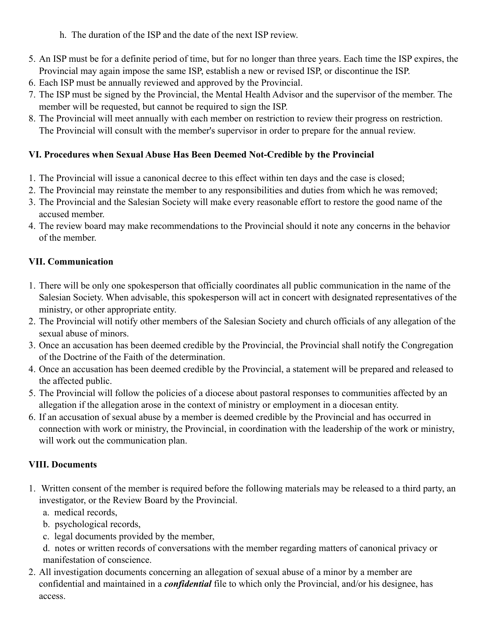- h. The duration of the ISP and the date of the next ISP review.
- 5. An ISP must be for a definite period of time, but for no longer than three years. Each time the ISP expires, the Provincial may again impose the same ISP, establish a new or revised ISP, or discontinue the ISP.
- 6. Each ISP must be annually reviewed and approved by the Provincial.
- 7. The ISP must be signed by the Provincial, the Mental Health Advisor and the supervisor of the member. The member will be requested, but cannot be required to sign the ISP.
- 8. The Provincial will meet annually with each member on restriction to review their progress on restriction. The Provincial will consult with the member's supervisor in order to prepare for the annual review.

## **VI. Procedures when Sexual Abuse Has Been Deemed Not-Credible by the Provincial**

- 1. The Provincial will issue a canonical decree to this effect within ten days and the case is closed;
- 2. The Provincial may reinstate the member to any responsibilities and duties from which he was removed;
- 3. The Provincial and the Salesian Society will make every reasonable effort to restore the good name of the accused member.
- 4. The review board may make recommendations to the Provincial should it note any concerns in the behavior of the member.

### **VII. Communication**

- 1. There will be only one spokesperson that officially coordinates all public communication in the name of the Salesian Society. When advisable, this spokesperson will act in concert with designated representatives of the ministry, or other appropriate entity.
- 2. The Provincial will notify other members of the Salesian Society and church officials of any allegation of the sexual abuse of minors.
- 3. Once an accusation has been deemed credible by the Provincial, the Provincial shall notify the Congregation of the Doctrine of the Faith of the determination.
- 4. Once an accusation has been deemed credible by the Provincial, a statement will be prepared and released to the affected public.
- 5. The Provincial will follow the policies of a diocese about pastoral responses to communities affected by an allegation if the allegation arose in the context of ministry or employment in a diocesan entity.
- 6. If an accusation of sexual abuse by a member is deemed credible by the Provincial and has occurred in connection with work or ministry, the Provincial, in coordination with the leadership of the work or ministry, will work out the communication plan.

### **VIII. Documents**

- 1. Written consent of the member is required before the following materials may be released to a third party, an investigator, or the Review Board by the Provincial.
	- a. medical records,
	- b. psychological records,
	- c. legal documents provided by the member,
	- d. notes or written records of conversations with the member regarding matters of canonical privacy or manifestation of conscience.
- 2. All investigation documents concerning an allegation of sexual abuse of a minor by a member are confidential and maintained in a *confidential* file to which only the Provincial, and/or his designee, has access.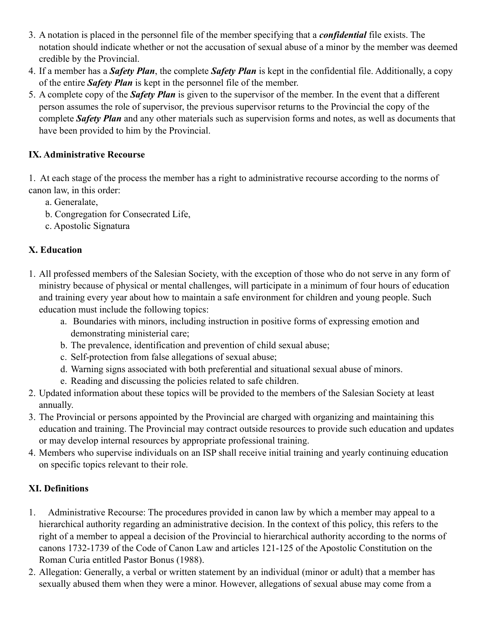- 3. A notation is placed in the personnel file of the member specifying that a *confidential* file exists. The notation should indicate whether or not the accusation of sexual abuse of a minor by the member was deemed credible by the Provincial.
- 4. If a member has a *Safety Plan*, the complete *Safety Plan* is kept in the confidential file. Additionally, a copy of the entire *Safety Plan* is kept in the personnel file of the member.
- 5. A complete copy of the *Safety Plan* is given to the supervisor of the member. In the event that a different person assumes the role of supervisor, the previous supervisor returns to the Provincial the copy of the complete *Safety Plan* and any other materials such as supervision forms and notes, as well as documents that have been provided to him by the Provincial.

## **IX. Administrative Recourse**

1. At each stage of the process the member has a right to administrative recourse according to the norms of canon law, in this order:

- a. Generalate,
- b. Congregation for Consecrated Life,
- c. Apostolic Signatura

# **X. Education**

- 1. All professed members of the Salesian Society, with the exception of those who do not serve in any form of ministry because of physical or mental challenges, will participate in a minimum of four hours of education and training every year about how to maintain a safe environment for children and young people. Such education must include the following topics:
	- a. Boundaries with minors, including instruction in positive forms of expressing emotion and demonstrating ministerial care;
	- b. The prevalence, identification and prevention of child sexual abuse;
	- c. Self-protection from false allegations of sexual abuse;
	- d. Warning signs associated with both preferential and situational sexual abuse of minors.
	- e. Reading and discussing the policies related to safe children.
- 2. Updated information about these topics will be provided to the members of the Salesian Society at least annually.
- 3. The Provincial or persons appointed by the Provincial are charged with organizing and maintaining this education and training. The Provincial may contract outside resources to provide such education and updates or may develop internal resources by appropriate professional training.
- 4. Members who supervise individuals on an ISP shall receive initial training and yearly continuing education on specific topics relevant to their role.

# **XI. Definitions**

- 1. Administrative Recourse: The procedures provided in canon law by which a member may appeal to a hierarchical authority regarding an administrative decision. In the context of this policy, this refers to the right of a member to appeal a decision of the Provincial to hierarchical authority according to the norms of canons 1732-1739 of the Code of Canon Law and articles 121-125 of the Apostolic Constitution on the Roman Curia entitled Pastor Bonus (1988).
- 2. Allegation: Generally, a verbal or written statement by an individual (minor or adult) that a member has sexually abused them when they were a minor. However, allegations of sexual abuse may come from a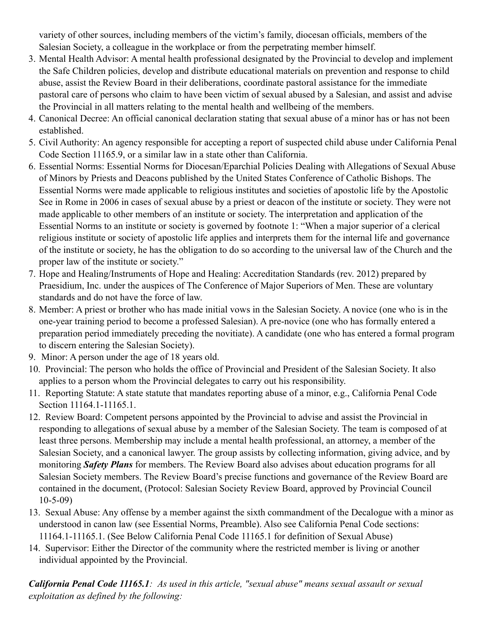variety of other sources, including members of the victim's family, diocesan officials, members of the Salesian Society, a colleague in the workplace or from the perpetrating member himself.

- 3. Mental Health Advisor: A mental health professional designated by the Provincial to develop and implement the Safe Children policies, develop and distribute educational materials on prevention and response to child abuse, assist the Review Board in their deliberations, coordinate pastoral assistance for the immediate pastoral care of persons who claim to have been victim of sexual abused by a Salesian, and assist and advise the Provincial in all matters relating to the mental health and wellbeing of the members.
- 4. Canonical Decree: An official canonical declaration stating that sexual abuse of a minor has or has not been established.
- 5. Civil Authority: An agency responsible for accepting a report of suspected child abuse under California Penal Code Section 11165.9, or a similar law in a state other than California.
- 6. Essential Norms: Essential Norms for Diocesan/Eparchial Policies Dealing with Allegations of Sexual Abuse of Minors by Priests and Deacons published by the United States Conference of Catholic Bishops. The Essential Norms were made applicable to religious institutes and societies of apostolic life by the Apostolic See in Rome in 2006 in cases of sexual abuse by a priest or deacon of the institute or society. They were not made applicable to other members of an institute or society. The interpretation and application of the Essential Norms to an institute or society is governed by footnote 1: "When a major superior of a clerical religious institute or society of apostolic life applies and interprets them for the internal life and governance of the institute or society, he has the obligation to do so according to the universal law of the Church and the proper law of the institute or society."
- 7. Hope and Healing/Instruments of Hope and Healing: Accreditation Standards (rev. 2012) prepared by Praesidium, Inc. under the auspices of The Conference of Major Superiors of Men. These are voluntary standards and do not have the force of law.
- 8. Member: A priest or brother who has made initial vows in the Salesian Society. A novice (one who is in the one-year training period to become a professed Salesian). A pre-novice (one who has formally entered a preparation period immediately preceding the novitiate). A candidate (one who has entered a formal program to discern entering the Salesian Society).
- 9. Minor: A person under the age of 18 years old.
- 10. Provincial: The person who holds the office of Provincial and President of the Salesian Society. It also applies to a person whom the Provincial delegates to carry out his responsibility.
- 11. Reporting Statute: A state statute that mandates reporting abuse of a minor, e.g., California Penal Code Section 11164.1-11165.1.
- 12. Review Board: Competent persons appointed by the Provincial to advise and assist the Provincial in responding to allegations of sexual abuse by a member of the Salesian Society. The team is composed of at least three persons. Membership may include a mental health professional, an attorney, a member of the Salesian Society, and a canonical lawyer. The group assists by collecting information, giving advice, and by monitoring *Safety Plans* for members. The Review Board also advises about education programs for all Salesian Society members. The Review Board's precise functions and governance of the Review Board are contained in the document, (Protocol: Salesian Society Review Board, approved by Provincial Council 10-5-09)
- 13. Sexual Abuse: Any offense by a member against the sixth commandment of the Decalogue with a minor as understood in canon law (see Essential Norms, Preamble). Also see California Penal Code sections: 11164.1-11165.1. (See Below California Penal Code 11165.1 for definition of Sexual Abuse)
- 14. Supervisor: Either the Director of the community where the restricted member is living or another individual appointed by the Provincial.

*California Penal Code 11165.1: As used in this article, "sexual abuse" means sexual assault or sexual exploitation as defined by the following:*